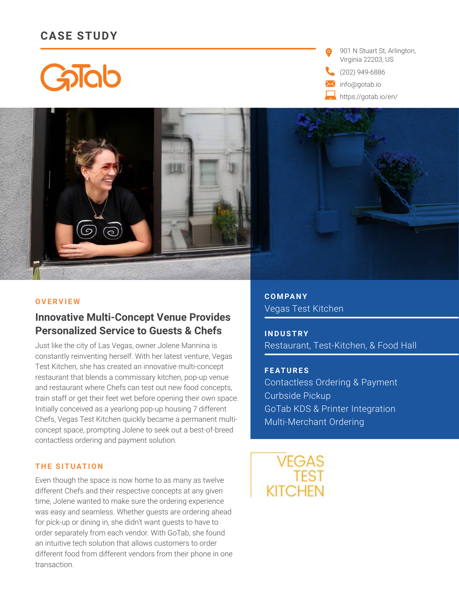# **CASE STUDY**

Galab

901 N Stuart St, Arlington, Virginia 22203, US

(202) 949-6886

info@gotab.io

https://gotab.io/en/



**C O M PA N Y**  Vegas Test Kitchen

**I N D U S T R Y**  Restaurant, Test-Kitchen, & Food Hall

**F E AT U R E S**  Contactless Ordering & Payment Curbside Pickup GoTab KDS & Printer Integration Multi-Merchant Ordering

VEGAS **KITCHEN** 

#### **OVERVIEW**

# **Innovative Multi-Concept Venue Provides Personalized Service to Guests & Chefs**

Just like the city of Las Vegas, owner Jolene Mannina is constantly reinventing herself. With her latest venture, Vegas Test Kitchen, she has created an innovative multi-concept restaurant that blends a commissary kitchen, pop-up venue and restaurant where Chefs can test out new food concepts, train staff or get their feet wet before opening their own space. Initially conceived as a yearlong pop-up housing 7 different Chefs, Vegas Test Kitchen quickly became a permanent multiconcept space, prompting Jolene to seek out a best-of-breed contactless ordering and payment solution.

### **THE SITUATION**

Even though the space is now home to as many as twelve different Chefs and their respective concepts at any given time, Jolene wanted to make sure the ordering experience was easy and seamless. Whether guests are ordering ahead for pick-up or dining in, she didn't want guests to have to order separately from each vendor. With GoTab, she found an intuitive tech solution that allows customers to order different food from different vendors from their phone in one transaction.